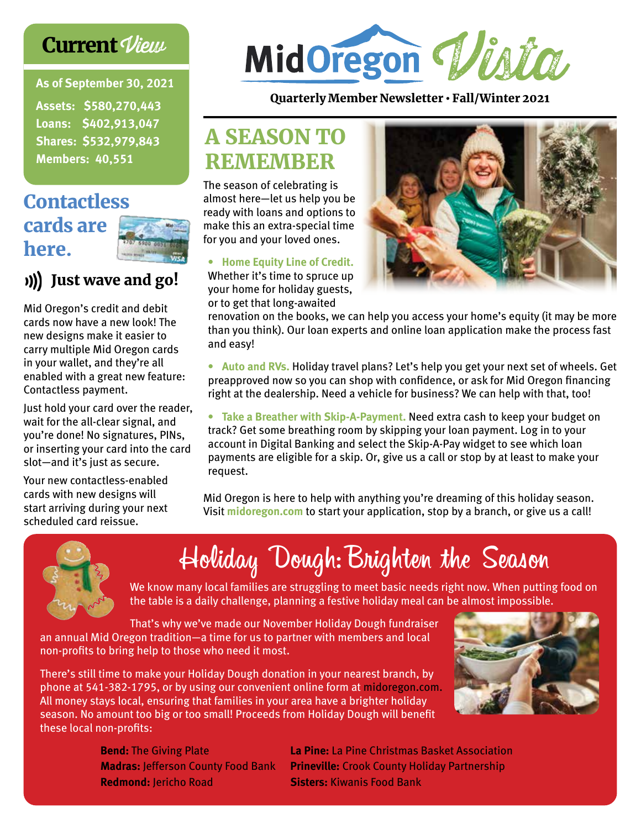### **Current View**

**As of September 30, 2021**

**Assets: \$580,270,443 Loans: \$402,913,047 Shares: \$532,979,843 Members: 40,551**

## **Contactless** cards are here.



### Just wave and go!

Mid Oregon's credit and debit cards now have a new look! The new designs make it easier to carry multiple Mid Oregon cards in your wallet, and they're all enabled with a great new feature: Contactless payment.

Just hold your card over the reader, wait for the all-clear signal, and you're done! No signatures, PINs, or inserting your card into the card slot—and it's just as secure.

Your new contactless-enabled cards with new designs will start arriving during your next scheduled card reissue.



#### Quarterly Member Newsletter • Fall/Winter 2021

# A SEASON TO REMEMBER

The season of celebrating is almost here—let us help you be ready with loans and options to make this an extra-special time for you and your loved ones.

#### **• Home Equity Line of Credit.**

Whether it's time to spruce up your home for holiday guests, or to get that long-awaited



renovation on the books, we can help you access your home's equity (it may be more than you think). Our loan experts and online loan application make the process fast and easy!

**• Auto and RVs.** Holiday travel plans? Let's help you get your next set of wheels. Get preapproved now so you can shop with confidence, or ask for Mid Oregon financing right at the dealership. Need a vehicle for business? We can help with that, too!

**• Take a Breather with Skip-A-Payment.** Need extra cash to keep your budget on track? Get some breathing room by skipping your loan payment. Log in to your account in Digital Banking and select the Skip-A-Pay widget to see which loan payments are eligible for a skip. Or, give us a call or stop by at least to make your request.

Mid Oregon is here to help with anything you're dreaming of this holiday season. Visit **midoregon.com** to start your application, stop by a branch, or give us a call!



# Holiday Dough:Brighten the Season

We know many local families are struggling to meet basic needs right now. When putting food on the table is a daily challenge, planning a festive holiday meal can be almost impossible.

That's why we've made our November Holiday Dough fundraiser an annual Mid Oregon tradition—a time for us to partner with members and local non-profits to bring help to those who need it most.

There's still time to make your Holiday Dough donation in your nearest branch, by phone at 541-382-1795, or by using our convenient online form at midoregon.com. All money stays local, ensuring that families in your area have a brighter holiday season. No amount too big or too small! Proceeds from Holiday Dough will benefit these local non-profits:



**Bend:** The Giving Plate **Madras:** Jefferson County Food Bank **Redmond:** Jericho Road

**La Pine:** La Pine Christmas Basket Association **Prineville:** Crook County Holiday Partnership **Sisters:** Kiwanis Food Bank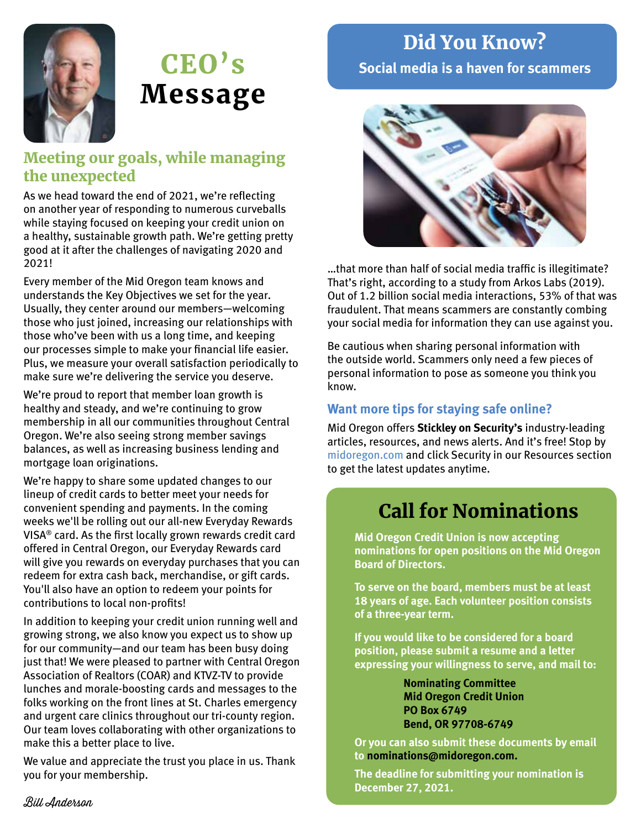

# CEO's Message

### Meeting our goals, while managing the unexpected

As we head toward the end of 2021, we're reflecting on another year of responding to numerous curveballs while staying focused on keeping your credit union on a healthy, sustainable growth path. We're getting pretty good at it after the challenges of navigating 2020 and 2021!

Every member of the Mid Oregon team knows and understands the Key Objectives we set for the year. Usually, they center around our members—welcoming those who just joined, increasing our relationships with those who've been with us a long time, and keeping our processes simple to make your financial life easier. Plus, we measure your overall satisfaction periodically to make sure we're delivering the service you deserve.

We're proud to report that member loan growth is healthy and steady, and we're continuing to grow membership in all our communities throughout Central Oregon. We're also seeing strong member savings balances, as well as increasing business lending and mortgage loan originations.

We're happy to share some updated changes to our lineup of credit cards to better meet your needs for convenient spending and payments. In the coming weeks we'll be rolling out our all-new Everyday Rewards VISA® card. As the first locally grown rewards credit card offered in Central Oregon, our Everyday Rewards card will give you rewards on everyday purchases that you can redeem for extra cash back, merchandise, or gift cards. You'll also have an option to redeem your points for contributions to local non-profits!

In addition to keeping your credit union running well and growing strong, we also know you expect us to show up for our community—and our team has been busy doing just that! We were pleased to partner with Central Oregon Association of Realtors (COAR) and KTVZ-TV to provide lunches and morale-boosting cards and messages to the folks working on the front lines at St. Charles emergency and urgent care clinics throughout our tri-county region. Our team loves collaborating with other organizations to make this a better place to live.

We value and appreciate the trust you place in us. Thank you for your membership.

**Social media is a haven for scammers**

Did You Know?



…that more than half of social media traffic is illegitimate? That's right, according to a study from Arkos Labs (2019). Out of 1.2 billion social media interactions, 53% of that was fraudulent. That means scammers are constantly combing your social media for information they can use against you.

Be cautious when sharing personal information with the outside world. Scammers only need a few pieces of personal information to pose as someone you think you know.

### **Want more tips for staying safe online?**

Mid Oregon offers **Stickley on Security's** industry-leading articles, resources, and news alerts. And it's free! Stop by midoregon.com and click Security in our Resources section to get the latest updates anytime.

## Call for Nominations

**Mid Oregon Credit Union is now accepting nominations for open positions on the Mid Oregon Board of Directors.** 

**To serve on the board, members must be at least 18 years of age. Each volunteer position consists of a three-year term.**

**If you would like to be considered for a board position, please submit a resume and a letter expressing your willingness to serve, and mail to:**

> **Nominating Committee Mid Oregon Credit Union PO Box 6749 Bend, OR 97708-6749**

**Or you can also submit these documents by email to nominations@midoregon.com.**

**The deadline for submitting your nomination is December 27, 2021.**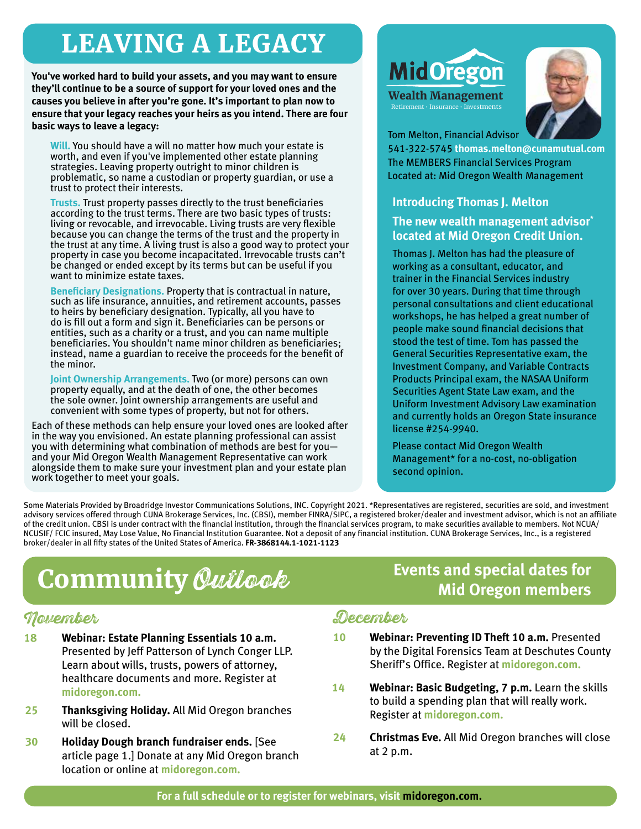# LEAVING A LEGACY

**You've worked hard to build your assets, and you may want to ensure they'll continue to be a source of support for your loved ones and the causes you believe in after you're gone. It's important to plan now to ensure that your legacy reaches your heirs as you intend. There are four basic ways to leave a legacy:** 

**Will.** You should have a will no matter how much your estate is worth, and even if you've implemented other estate planning strategies. Leaving property outright to minor children is problematic, so name a custodian or property guardian, or use a trust to protect their interests.

**Trusts.** Trust property passes directly to the trust beneficiaries according to the trust terms. There are two basic types of trusts: living or revocable, and irrevocable. Living trusts are very flexible because you can change the terms of the trust and the property in the trust at any time. A living trust is also a good way to protect your property in case you become incapacitated. Irrevocable trusts can't be changed or ended except by its terms but can be useful if you want to minimize estate taxes.

**Beneficiary Designations.** Property that is contractual in nature, such as life insurance, annuities, and retirement accounts, passes to heirs by beneficiary designation. Typically, all you have to do is fill out a form and sign it. Beneficiaries can be persons or entities, such as a charity or a trust, and you can name multiple beneficiaries. You shouldn't name minor children as beneficiaries; instead, name a guardian to receive the proceeds for the benefit of the minor.

**Joint Ownership Arrangements.** Two (or more) persons can own property equally, and at the death of one, the other becomes the sole owner. Joint ownership arrangements are useful and convenient with some types of property, but not for others.

Each of these methods can help ensure your loved ones are looked after in the way you envisioned. An estate planning professional can assist you with determining what combination of methods are best for you and your Mid Oregon Wealth Management Representative can work alongside them to make sure your investment plan and your estate plan work together to meet your goals.

# **MidOregon**

Wealth Management Retirement • Insurance • Investments



Tom Melton, Financial Advisor

541-322-5745 **thomas.melton@cunamutual.com** The MEMBERS Financial Services Program Located at: Mid Oregon Wealth Management

#### **Introducing Thomas J. Melton**

**The new wealth management advisor\* located at Mid Oregon Credit Union.** 

Thomas J. Melton has had the pleasure of working as a consultant, educator, and trainer in the Financial Services industry for over 30 years. During that time through personal consultations and client educational workshops, he has helped a great number of people make sound financial decisions that stood the test of time. Tom has passed the General Securities Representative exam, the Investment Company, and Variable Contracts Products Principal exam, the NASAA Uniform Securities Agent State Law exam, and the Uniform Investment Advisory Law examination and currently holds an Oregon State insurance license #254-9940.

Please contact Mid Oregon Wealth Management\* for a no-cost, no-obligation second opinion.

Some Materials Provided by Broadridge Investor Communications Solutions, INC. Copyright 2021. \*Representatives are registered, securities are sold, and investment advisory services offered through CUNA Brokerage Services, Inc. (CBSI), member FINRA/SIPC, a registered broker/dealer and investment advisor, which is not an affiliate of the credit union. CBSI is under contract with the financial institution, through the financial services program, to make securities available to members. Not NCUA/ NCUSIF/ FCIC insured, May Lose Value, No Financial Institution Guarantee. Not a deposit of any financial institution. CUNA Brokerage Services, Inc., is a registered broker/dealer in all fifty states of the United States of America. **FR-3868144.1-1021-1123**

# **Community** *Quilook*<br>**Events and special dates for**<br>**Mid Oregon members**

### November

- **18 Webinar: Estate Planning Essentials 10 a.m.** Presented by Jeff Patterson of Lynch Conger LLP. Learn about wills, trusts, powers of attorney, healthcare documents and more. Register at **midoregon.com.**
- **25 Thanksgiving Holiday.** All Mid Oregon branches will be closed.
- **30 Holiday Dough branch fundraiser ends.** [See article page 1.] Donate at any Mid Oregon branch location or online at **midoregon.com.**

# **Mid Oregon members**

### December

- **10 Webinar: Preventing ID Theft 10 a.m.** Presented by the Digital Forensics Team at Deschutes County Sheriff's Office. Register at **midoregon.com.**
- **14 Webinar: Basic Budgeting, 7 p.m.** Learn the skills to build a spending plan that will really work. Register at **midoregon.com.**
- **24 Christmas Eve.** All Mid Oregon branches will close at 2 p.m.